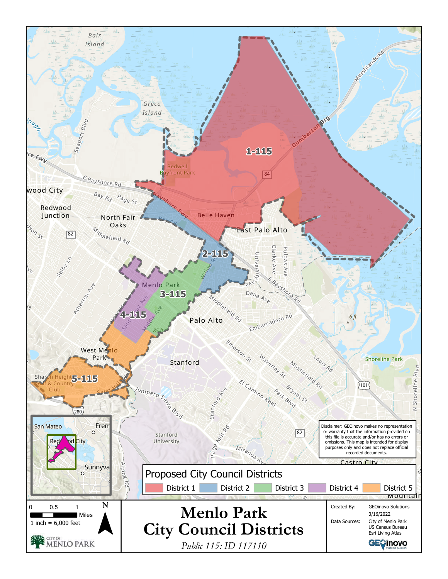